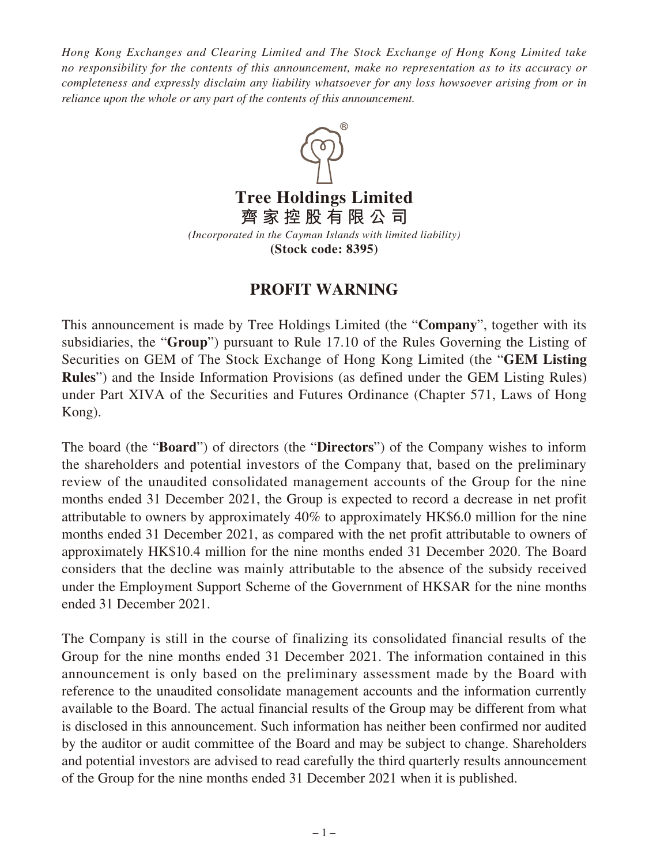*Hong Kong Exchanges and Clearing Limited and The Stock Exchange of Hong Kong Limited take no responsibility for the contents of this announcement, make no representation as to its accuracy or completeness and expressly disclaim any liability whatsoever for any loss howsoever arising from or in reliance upon the whole or any part of the contents of this announcement.*



**Tree Holdings Limited 齊家控股有限公司**

*(Incorporated in the Cayman Islands with limited liability)* **(Stock code: 8395)**

## **PROFIT WARNING**

This announcement is made by Tree Holdings Limited (the "**Company**", together with its subsidiaries, the "**Group**") pursuant to Rule 17.10 of the Rules Governing the Listing of Securities on GEM of The Stock Exchange of Hong Kong Limited (the "**GEM Listing Rules**") and the Inside Information Provisions (as defined under the GEM Listing Rules) under Part XIVA of the Securities and Futures Ordinance (Chapter 571, Laws of Hong Kong).

The board (the "**Board**") of directors (the "**Directors**") of the Company wishes to inform the shareholders and potential investors of the Company that, based on the preliminary review of the unaudited consolidated management accounts of the Group for the nine months ended 31 December 2021, the Group is expected to record a decrease in net profit attributable to owners by approximately 40% to approximately HK\$6.0 million for the nine months ended 31 December 2021, as compared with the net profit attributable to owners of approximately HK\$10.4 million for the nine months ended 31 December 2020. The Board considers that the decline was mainly attributable to the absence of the subsidy received under the Employment Support Scheme of the Government of HKSAR for the nine months ended 31 December 2021.

The Company is still in the course of finalizing its consolidated financial results of the Group for the nine months ended 31 December 2021. The information contained in this announcement is only based on the preliminary assessment made by the Board with reference to the unaudited consolidate management accounts and the information currently available to the Board. The actual financial results of the Group may be different from what is disclosed in this announcement. Such information has neither been confirmed nor audited by the auditor or audit committee of the Board and may be subject to change. Shareholders and potential investors are advised to read carefully the third quarterly results announcement of the Group for the nine months ended 31 December 2021 when it is published.